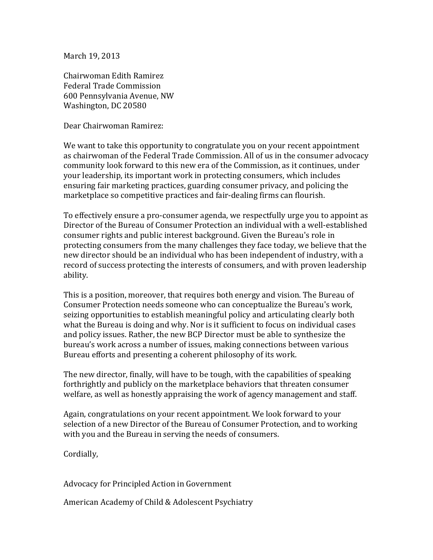March 19, 2013

Chairwoman Edith Ramirez Federal Trade Commission 600 Pennsylvania Avenue, NW Washington, DC 20580

Dear Chairwoman Ramirez:

We want to take this opportunity to congratulate you on your recent appointment as chairwoman of the Federal Trade Commission. All of us in the consumer advocacy community look forward to this new era of the Commission, as it continues, under your leadership, its important work in protecting consumers, which includes ensuring fair marketing practices, guarding consumer privacy, and policing the marketplace so competitive practices and fair-dealing firms can flourish.

To effectively ensure a pro-consumer agenda, we respectfully urge you to appoint as Director of the Bureau of Consumer Protection an individual with a well-established consumer rights and public interest background. Given the Bureau's role in protecting consumers from the many challenges they face today, we believe that the new director should be an individual who has been independent of industry, with a record of success protecting the interests of consumers, and with proven leadership ability.

This is a position, moreover, that requires both energy and vision. The Bureau of Consumer Protection needs someone who can conceptualize the Bureau's work, seizing opportunities to establish meaningful policy and articulating clearly both what the Bureau is doing and why. Nor is it sufficient to focus on individual cases and policy issues. Rather, the new BCP Director must be able to synthesize the bureau's work across a number of issues, making connections between various Bureau efforts and presenting a coherent philosophy of its work.

The new director, finally, will have to be tough, with the capabilities of speaking forthrightly and publicly on the marketplace behaviors that threaten consumer welfare, as well as honestly appraising the work of agency management and staff.

Again, congratulations on your recent appointment. We look forward to your selection of a new Director of the Bureau of Consumer Protection, and to working with you and the Bureau in serving the needs of consumers.

Cordially,

Advocacy for Principled Action in Government

American Academy of Child & Adolescent Psychiatry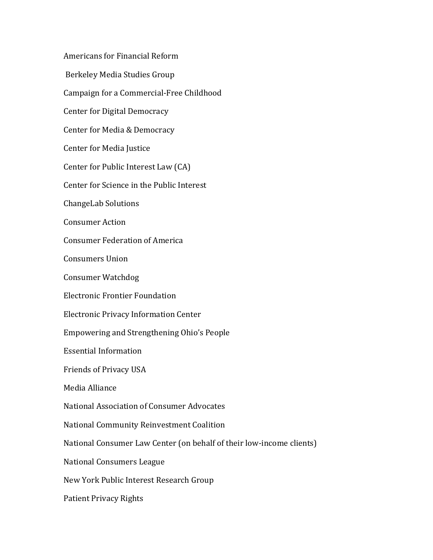Americans for Financial Reform Berkeley Media Studies Group Campaign for a Commercial-Free Childhood Center for Digital Democracy Center for Media & Democracy Center for Media Justice Center for Public Interest Law (CA) Center for Science in the Public Interest ChangeLab Solutions Consumer Action Consumer Federation of America Consumers Union Consumer Watchdog Electronic Frontier Foundation Electronic Privacy Information Center Empowering and Strengthening Ohio's People Essential Information Friends of Privacy USA Media Alliance National Association of Consumer Advocates National Community Reinvestment Coalition National Consumer Law Center (on behalf of their low-income clients) National Consumers League New York Public Interest Research Group Patient Privacy Rights